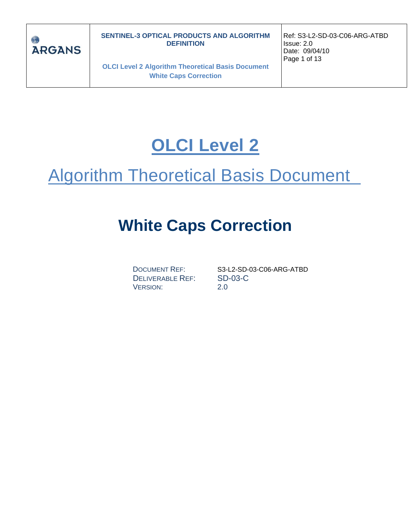

**OLCI Level 2 Algorithm Theoretical Basis Document White Caps Correction**

Ref: S3-L2-SD-03-C06-ARG-ATBD Issue: 2.0 Date: 09/04/10 Page 1 of 13

# **OLCI Level 2**

# Algorithm Theoretical Basis Document

# **White Caps Correction**

DELIVERABLE REF: SD-03-C VERSION: 2.0

DOCUMENT REF: S3-L2-SD-03-C06-ARG-ATBD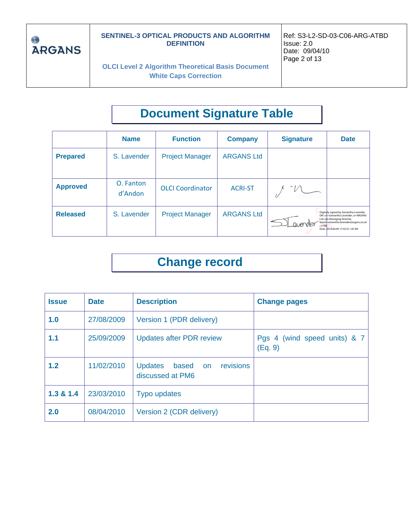

**OLCI Level 2 Algorithm Theoretical Basis Document White Caps Correction**

# **Document Signature Table**

|                 | <b>Name</b>          | <b>Function</b>         | <b>Company</b>    | <b>Signature</b>                    | <b>Date</b>                                                                                                                                                                             |
|-----------------|----------------------|-------------------------|-------------------|-------------------------------------|-----------------------------------------------------------------------------------------------------------------------------------------------------------------------------------------|
| <b>Prepared</b> | S. Lavender          | <b>Project Manager</b>  | <b>ARGANS Ltd</b> |                                     |                                                                                                                                                                                         |
| <b>Approved</b> | O. Fanton<br>d'Andon | <b>OLCI</b> Coordinator | <b>ACRI-ST</b>    |                                     |                                                                                                                                                                                         |
| <b>Released</b> | S. Lavender          | <b>Project Manager</b>  | <b>ARGANS Ltd</b> | <b><i>CIVEYABLE</i></b><br>$c = GB$ | Digitally signed by Samantha Lavender<br>DN: cri=Samantha Lavender, o=ARGANS<br>Ltd, ou=Managing Director,<br>email samantha.lavender@argans.co.uk<br>Date: 2010.04.09 17:55:57 +01'00' |

## **Change record**

| <b>Issue</b> | <b>Date</b> | <b>Description</b>                                          | <b>Change pages</b>                     |
|--------------|-------------|-------------------------------------------------------------|-----------------------------------------|
| 1.0          | 27/08/2009  | Version 1 (PDR delivery)                                    |                                         |
| 1.1          | 25/09/2009  | <b>Updates after PDR review</b>                             | Pgs 4 (wind speed units) & 7<br>(Eq. 9) |
| 1.2          | 11/02/2010  | revisions<br><b>Updates</b><br>based on<br>discussed at PM6 |                                         |
| 1.3 & 1.4    | 23/03/2010  | Typo updates                                                |                                         |
| 2.0          | 08/04/2010  | Version 2 (CDR delivery)                                    |                                         |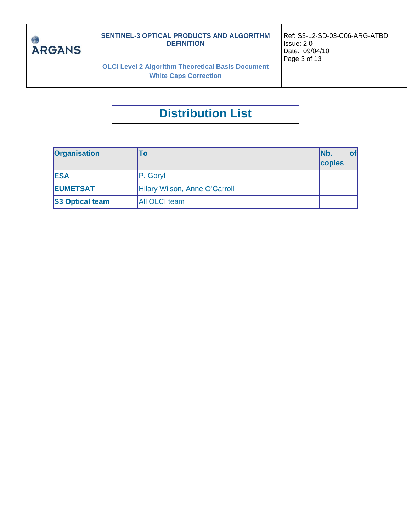

**OLCI Level 2 Algorithm Theoretical Basis Document White Caps Correction**

Ref: S3-L2-SD-03-C06-ARG-ATBD Issue: 2.0 Date: 09/04/10 Page 3 of 13

## **Distribution List**

| <b>Organisation</b>    | To                            | INb.<br>copies | <b>of</b> |
|------------------------|-------------------------------|----------------|-----------|
| <b>ESA</b>             | P. Gory                       |                |           |
| <b>EUMETSAT</b>        | Hilary Wilson, Anne O'Carroll |                |           |
| <b>S3 Optical team</b> | <b>All OLCI team</b>          |                |           |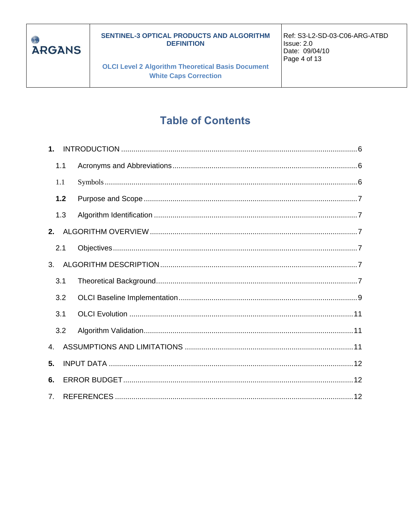

**OLCI Level 2 Algorithm Theoretical Basis Document White Caps Correction** 

## **Table of Contents**

| $\mathbf 1$ .  |     |  |
|----------------|-----|--|
|                | 1.1 |  |
|                | 1.1 |  |
|                | 1.2 |  |
|                | 1.3 |  |
| 2.             |     |  |
|                | 2.1 |  |
| 3.             |     |  |
|                | 3.1 |  |
|                | 3.2 |  |
|                | 3.1 |  |
|                | 3.2 |  |
| $\mathbf{4}$ . |     |  |
| 5.             |     |  |
| 6.             |     |  |
| 7 <sub>1</sub> |     |  |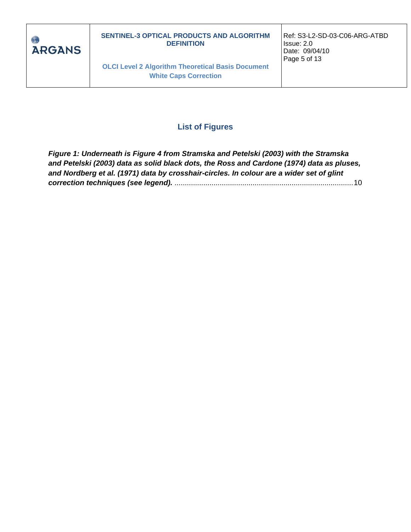

**OLCI Level 2 Algorithm Theoretical Basis Document White Caps Correction**

Ref: S3-L2-SD-03-C06-ARG-ATBD Issue: 2.0 Date: 09/04/10 Page 5 of 13

#### **List of Figures**

*[Figure 1: Underneath is Figure 4 from Stramska and Petelski \(2003\) with the Stramska](#page-9-0)  [and Petelski \(2003\) data as solid black dots, the Ross and Cardone \(1974\) data as pluses,](#page-9-0)  [and Nordberg et al. \(1971\) data by crosshair-circles. In colour are a wider set of glint](#page-9-0)  correction techniques (see legend).* [.......................................................................................10](#page-9-0)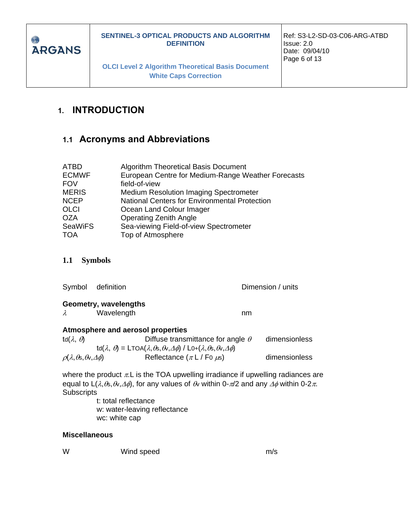

**OLCI Level 2 Algorithm Theoretical Basis Document White Caps Correction**

## <span id="page-5-0"></span>**1. INTRODUCTION**

#### <span id="page-5-1"></span>**1.1 Acronyms and Abbreviations**

| <b>ATBD</b>    | Algorithm Theoretical Basis Document                 |
|----------------|------------------------------------------------------|
| <b>ECMWF</b>   | European Centre for Medium-Range Weather Forecasts   |
| <b>FOV</b>     | field-of-view                                        |
| <b>MERIS</b>   | <b>Medium Resolution Imaging Spectrometer</b>        |
| <b>NCEP</b>    | <b>National Centers for Environmental Protection</b> |
| <b>OLCI</b>    | Ocean Land Colour Imager                             |
| <b>OZA</b>     | <b>Operating Zenith Angle</b>                        |
| <b>SeaWiFS</b> | Sea-viewing Field-of-view Spectrometer               |
| <b>TOA</b>     | Top of Atmosphere                                    |

#### <span id="page-5-2"></span>**1.1 Symbols**

|                                                          | Symbol definition                 |                                                                                                                                                                                            | Dimension / units |
|----------------------------------------------------------|-----------------------------------|--------------------------------------------------------------------------------------------------------------------------------------------------------------------------------------------|-------------------|
|                                                          | Geometry, wavelengths             |                                                                                                                                                                                            |                   |
| $\lambda$                                                | Wavelength                        | nm                                                                                                                                                                                         |                   |
|                                                          | Atmosphere and aerosol properties |                                                                                                                                                                                            |                   |
| td $(\lambda, \theta)$                                   |                                   | Diffuse transmittance for angle $\theta$                                                                                                                                                   | dimensionless     |
|                                                          |                                   | td( $\lambda$ , $\theta$ ) = LTOA( $\lambda$ , $\theta$ s, $\theta$ , $\Delta$ $\phi$ ) / L0+( $\lambda$ , $\theta$ s, $\theta$ , $\Delta$ $\phi$ )                                        |                   |
| $\rho(\lambda,\theta_{\rm S},\theta_{\rm V},\Delta\phi)$ |                                   | Reflectance $(\pi L / F_0 \mu s)$                                                                                                                                                          | dimensionless     |
|                                                          |                                   | where the product $\pi$ . L is the TOA upwelling irradiance if upwelling radiances are<br>equal to 1 (2 $\theta_2$ A, A) for any values of A, within 0- $\pi/2$ and any A within 0-2 $\pi$ |                   |

equal to L( $\lambda,$ *t*s, $\theta$ v, $\Delta\phi$ ), for any values of  $\theta$  within 0- $\pi$ /2 and any  $\Delta\phi$  within 0-2 $\pi$ . Subscripts

t: total reflectance w: water-leaving reflectance wc: white cap

#### **Miscellaneous**

W Wind speed m/s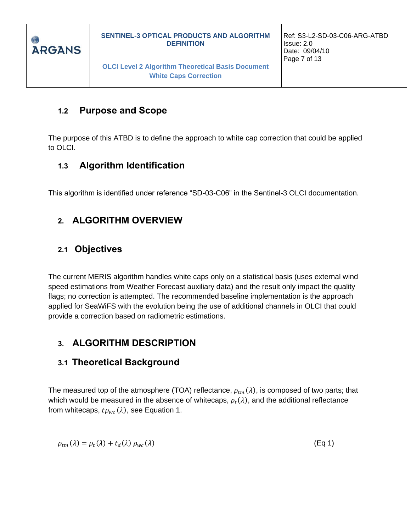

## <span id="page-6-0"></span>**1.2 Purpose and Scope**

The purpose of this ATBD is to define the approach to white cap correction that could be applied to OLCI.

## <span id="page-6-1"></span>**1.3 Algorithm Identification**

This algorithm is identified under reference "SD-03-C06" in the Sentinel-3 OLCI documentation.

## <span id="page-6-2"></span>**2. ALGORITHM OVERVIEW**

## <span id="page-6-3"></span>**2.1 Objectives**

The current MERIS algorithm handles white caps only on a statistical basis (uses external wind speed estimations from Weather Forecast auxiliary data) and the result only impact the quality flags; no correction is attempted. The recommended baseline implementation is the approach applied for SeaWiFS with the evolution being the use of additional channels in OLCI that could provide a correction based on radiometric estimations.

## <span id="page-6-4"></span>**3. ALGORITHM DESCRIPTION**

### <span id="page-6-5"></span>**3.1 Theoretical Background**

The measured top of the atmosphere (TOA) reflectance,  $\rho_{tm}(\lambda)$ , is composed of two parts; that which would be measured in the absence of whitecaps,  $\rho_t(\lambda)$ , and the additional reflectance from whitecaps,  $t\rho_{wc}(\lambda)$ , see Equation 1.

$$
\rho_{tm}(\lambda) = \rho_t(\lambda) + t_d(\lambda) \rho_{wc}(\lambda) \tag{Eq 1}
$$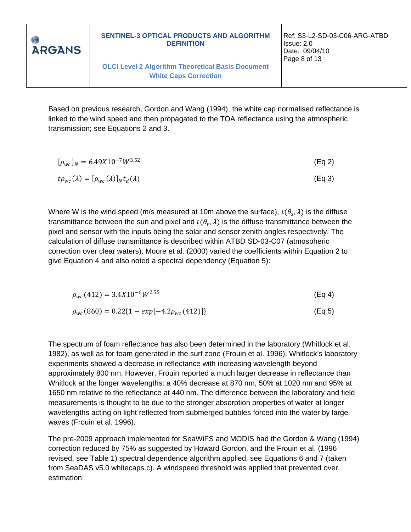

Based on previous research, Gordon and Wang (1994), the white cap normalised reflectance is linked to the wind speed and then propagated to the TOA reflectance using the atmospheric transmission; see Equations 2 and 3.

| $[\rho_{wc}]_N = 6.49X10^{-7}W^{3.52}$                      | (Eq 2) |
|-------------------------------------------------------------|--------|
| $t\rho_{wc}(\lambda) = [\rho_{wc}(\lambda)]_N t_d(\lambda)$ | (Eq 3) |

Where W is the wind speed (m/s measured at 10m above the surface),  $t(\theta_s, \lambda)$  is the diffuse transmittance between the sun and pixel and  $t(\theta_v, \lambda)$  is the diffuse transmittance between the pixel and sensor with the inputs being the solar and sensor zenith angles respectively. The calculation of diffuse transmittance is described within ATBD SD-03-C07 (atmospheric correction over clear waters). Moore et al. (2000) varied the coefficients within Equation 2 to give Equation 4 and also noted a spectral dependency (Equation 5):

| $\rho_{wc}(412) = 3.4X10^{-6}W^{2.55}$                 | (Eq 4)             |
|--------------------------------------------------------|--------------------|
| $\rho_{wc}(860) = 0.22\{1 - exp[-4.2\rho_{wc}(412)]\}$ | (Eq <sub>5</sub> ) |

The spectrum of foam reflectance has also been determined in the laboratory (Whitlock et al. 1982), as well as for foam generated in the surf zone (Frouin et al. 1996). Whitlock's laboratory experiments showed a decrease in reflectance with increasing wavelength beyond approximately 800 nm. However, Frouin reported a much larger decrease in reflectance than Whitlock at the longer wavelengths: a 40% decrease at 870 nm, 50% at 1020 nm and 95% at 1650 nm relative to the reflectance at 440 nm. The difference between the laboratory and field measurements is thought to be due to the stronger absorption properties of water at longer wavelengths acting on light reflected from submerged bubbles forced into the water by large waves (Frouin et al. 1996).

The pre-2009 approach implemented for SeaWiFS and MODIS had the Gordon & Wang (1994) correction reduced by 75% as suggested by Howard Gordon, and the Frouin et al. (1996 revised, see Table 1) spectral dependence algorithm applied, see Equations 6 and 7 (taken from SeaDAS v5.0 whitecaps.c). A windspeed threshold was applied that prevented over estimation.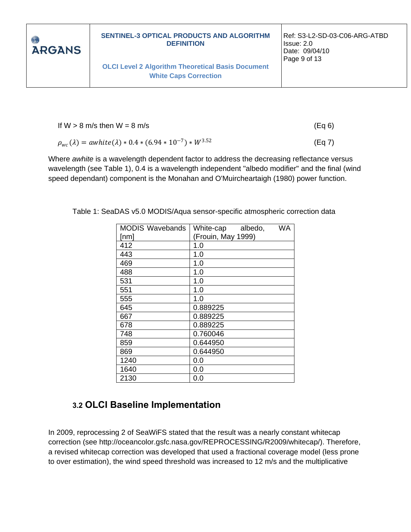

If W > 8 m/s then W = 8 m/s (Eq 6)  
\n
$$
\rho_{wc}(\lambda) = awhite(\lambda) * 0.4 * (6.94 * 10^{-7}) * W^{3.52}
$$
\n(Eq 7)

Where *awhite* is a wavelength dependent factor to address the decreasing reflectance versus wavelength (see Table 1), 0.4 is a wavelength independent "albedo modifier" and the final (wind speed dependant) component is the Monahan and O'Muircheartaigh (1980) power function.

| <b>MODIS Wavebands</b> | White-cap<br>WA<br>albedo, |
|------------------------|----------------------------|
| [nm]                   | (Frouin, May 1999)         |
| 412                    | 1.0                        |
| 443                    | 1.0                        |
| 469                    | 1.0                        |
| 488                    | 1.0                        |
| 531                    | 1.0                        |
| 551                    | 1.0                        |
| 555                    | 1.0                        |
| 645                    | 0.889225                   |
| 667                    | 0.889225                   |
| 678                    | 0.889225                   |
| 748                    | 0.760046                   |
| 859                    | 0.644950                   |
| 869                    | 0.644950                   |
| 1240                   | 0.0                        |
| 1640                   | 0.0                        |
| 2130                   | 0.0                        |

Table 1: SeaDAS v5.0 MODIS/Aqua sensor-specific atmospheric correction data

#### <span id="page-8-0"></span>**3.2 OLCI Baseline Implementation**

In 2009, reprocessing 2 of SeaWiFS stated that the result was a nearly constant whitecap correction (see http://oceancolor.gsfc.nasa.gov/REPROCESSING/R2009/whitecap/). Therefore, a revised whitecap correction was developed that used a fractional coverage model (less prone to over estimation), the wind speed threshold was increased to 12 m/s and the multiplicative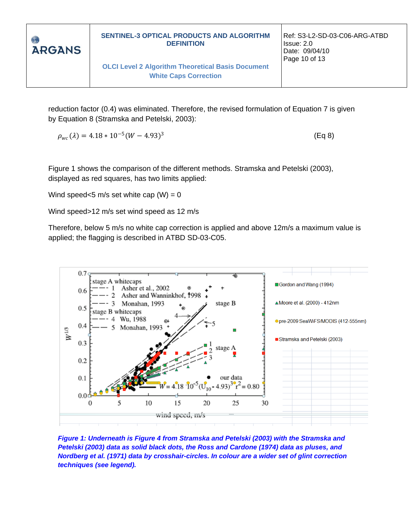

(Eq 8)

reduction factor (0.4) was eliminated. Therefore, the revised formulation of Equation 7 is given by Equation 8 (Stramska and Petelski, 2003):

 $\rho_{wc}(\lambda) = 4.18 * 10^{-5} (W - 4.93)^3$ 

Figure 1 shows the comparison of the different methods. Stramska and Petelski (2003), displayed as red squares, has two limits applied:

Wind speed<5 m/s set white cap  $(W) = 0$ 

Wind speed>12 m/s set wind speed as 12 m/s

Therefore, below 5 m/s no white cap correction is applied and above 12m/s a maximum value is applied; the flagging is described in ATBD SD-03-C05.



<span id="page-9-0"></span>*Figure 1: Underneath is Figure 4 from Stramska and Petelski (2003) with the Stramska and Petelski (2003) data as solid black dots, the Ross and Cardone (1974) data as pluses, and Nordberg et al. (1971) data by crosshair-circles. In colour are a wider set of glint correction techniques (see legend).*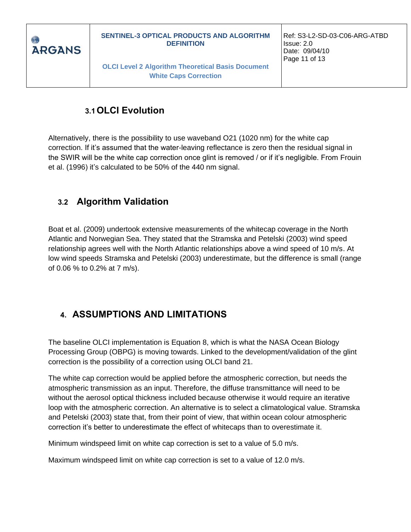

**OLCI Level 2 Algorithm Theoretical Basis Document White Caps Correction**

## **3.1OLCI Evolution**

<span id="page-10-0"></span>Alternatively, there is the possibility to use waveband O21 (1020 nm) for the white cap correction. If it's assumed that the water-leaving reflectance is zero then the residual signal in the SWIR will be the white cap correction once glint is removed / or if it's negligible. From Frouin et al. (1996) it's calculated to be 50% of the 440 nm signal.

### <span id="page-10-1"></span>**3.2 Algorithm Validation**

Boat et al. (2009) undertook extensive measurements of the whitecap coverage in the North Atlantic and Norwegian Sea. They stated that the Stramska and Petelski (2003) wind speed relationship agrees well with the North Atlantic relationships above a wind speed of 10 m/s. At low wind speeds Stramska and Petelski (2003) underestimate, but the difference is small (range of 0.06 % to 0.2% at 7 m/s).

## <span id="page-10-2"></span>**4. ASSUMPTIONS AND LIMITATIONS**

The baseline OLCI implementation is Equation 8, which is what the NASA Ocean Biology Processing Group (OBPG) is moving towards. Linked to the development/validation of the glint correction is the possibility of a correction using OLCI band 21.

The white cap correction would be applied before the atmospheric correction, but needs the atmospheric transmission as an input. Therefore, the diffuse transmittance will need to be without the aerosol optical thickness included because otherwise it would require an iterative loop with the atmospheric correction. An alternative is to select a climatological value. Stramska and Petelski (2003) state that, from their point of view, that within ocean colour atmospheric correction it's better to underestimate the effect of whitecaps than to overestimate it.

Minimum windspeed limit on white cap correction is set to a value of 5.0 m/s.

Maximum windspeed limit on white cap correction is set to a value of 12.0 m/s.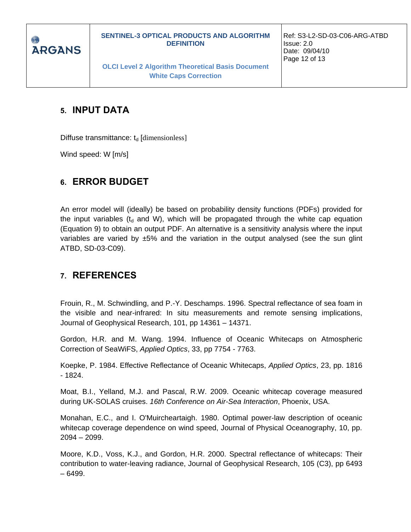

**OLCI Level 2 Algorithm Theoretical Basis Document White Caps Correction**

### <span id="page-11-0"></span>**5. INPUT DATA**

Diffuse transmittance:  $t_d$  [dimensionless]

Wind speed: W [m/s]

#### <span id="page-11-1"></span>**6. ERROR BUDGET**

An error model will (ideally) be based on probability density functions (PDFs) provided for the input variables ( $t<sub>d</sub>$  and W), which will be propagated through the white cap equation (Equation 9) to obtain an output PDF. An alternative is a sensitivity analysis where the input variables are varied by ±5% and the variation in the output analysed (see the sun glint ATBD, SD-03-C09).

#### <span id="page-11-2"></span>**7. REFERENCES**

Frouin, R., M. Schwindling, and P.-Y. Deschamps. 1996. Spectral reflectance of sea foam in the visible and near-infrared: In situ measurements and remote sensing implications, Journal of Geophysical Research, 101, pp 14361 – 14371.

Gordon, H.R. and M. Wang. 1994. Influence of Oceanic Whitecaps on Atmospheric Correction of SeaWiFS, *Applied Optics*, 33, pp 7754 - 7763.

Koepke, P. 1984. Effective Reflectance of Oceanic Whitecaps, *Applied Optics*, 23, pp. 1816 - 1824.

Moat, B.I., Yelland, M.J. and Pascal, R.W. 2009. Oceanic whitecap coverage measured during UK-SOLAS cruises. *16th Conference on Air-Sea Interaction*, Phoenix, USA.

Monahan, E.C., and I. O'Muircheartaigh. 1980. Optimal power-law description of oceanic whitecap coverage dependence on wind speed, Journal of Physical Oceanography, 10, pp. 2094 – 2099.

Moore, K.D., Voss, K.J., and Gordon, H.R. 2000. Spectral reflectance of whitecaps: Their contribution to water-leaving radiance, Journal of Geophysical Research, 105 (C3), pp 6493 – 6499.